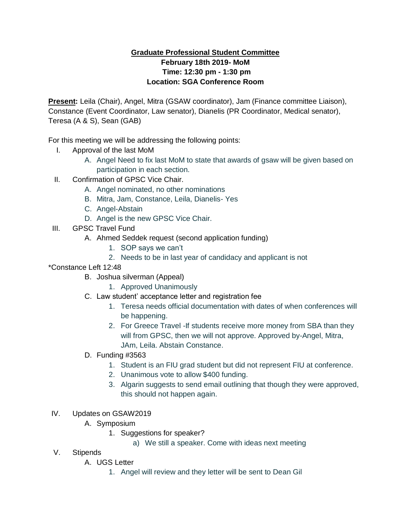## **Graduate Professional Student Committee February 18th 2019- MoM Time: 12:30 pm - 1:30 pm Location: SGA Conference Room**

**Present:** Leila (Chair), Angel, Mitra (GSAW coordinator), Jam (Finance committee Liaison), Constance (Event Coordinator, Law senator), Dianelis (PR Coordinator, Medical senator), Teresa (A & S), Sean (GAB)

For this meeting we will be addressing the following points:

- I. Approval of the last MoM
	- A. Angel Need to fix last MoM to state that awards of gsaw will be given based on participation in each section.
- II. Confirmation of GPSC Vice Chair.
	- A. Angel nominated, no other nominations
	- B. Mitra, Jam, Constance, Leila, Dianelis- Yes
	- C. Angel-Abstain
	- D. Angel is the new GPSC Vice Chair.
- III. GPSC Travel Fund
	- A. Ahmed Seddek request (second application funding)
		- 1. SOP says we can't
		- 2. Needs to be in last year of candidacy and applicant is not
- \*Constance Left 12:48
	- B. Joshua silverman (Appeal)
		- 1. Approved Unanimously
	- C. Law student' acceptance letter and registration fee
		- 1. Teresa needs official documentation with dates of when conferences will be happening.
		- 2. For Greece Travel -If students receive more money from SBA than they will from GPSC, then we will not approve. Approved by-Angel, Mitra, JAm, Leila. Abstain Constance.
	- D. Funding #3563
		- 1. Student is an FIU grad student but did not represent FIU at conference.
		- 2. Unanimous vote to allow \$400 funding.
		- 3. Algarin suggests to send email outlining that though they were approved, this should not happen again.
- IV. Updates on GSAW2019
	- A. Symposium
		- 1. Suggestions for speaker?
			- a) We still a speaker. Come with ideas next meeting
- V. Stipends
	- A. UGS Letter
		- 1. Angel will review and they letter will be sent to Dean Gil